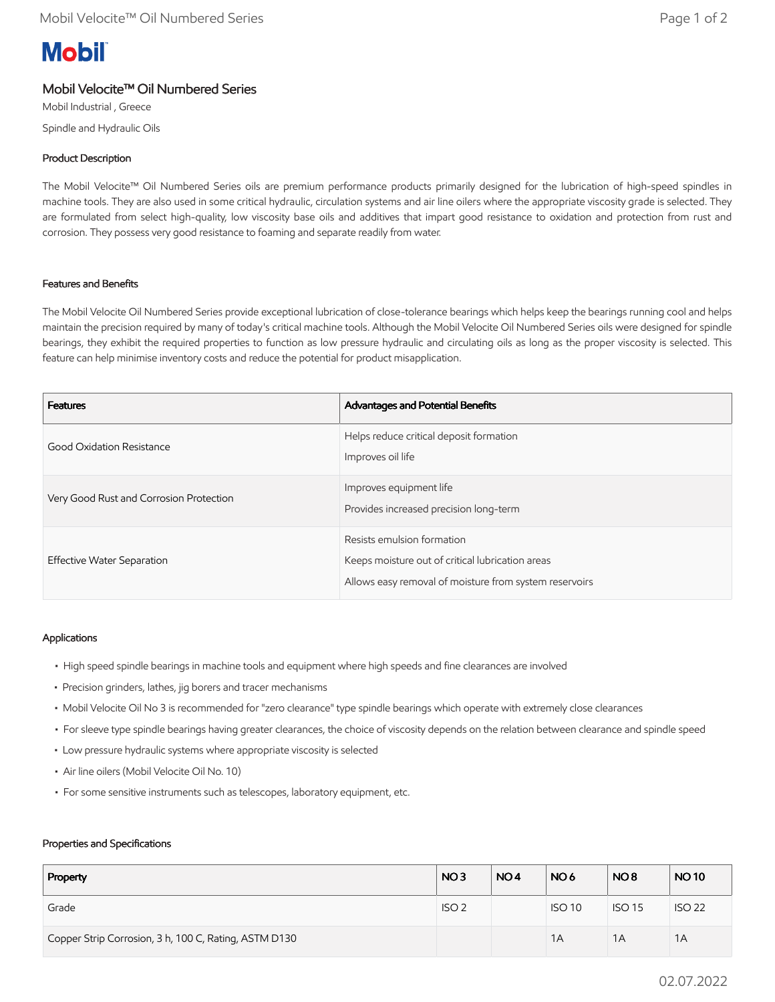# **Mobil**

# Mobil Velocite™ Oil Numbered Series

Mobil Industrial , Greece Spindle and Hydraulic Oils

## Product Description

The Mobil Velocite™ Oil Numbered Series oils are premium performance products primarily designed for the lubrication of high-speed spindles in machine tools. They are also used in some critical hydraulic, circulation systems and air line oilers where the appropriate viscosity grade is selected. They are formulated from select high-quality, low viscosity base oils and additives that impart good resistance to oxidation and protection from rust and corrosion. They possess very good resistance to foaming and separate readily from water.

### Features and Benefits

The Mobil Velocite Oil Numbered Series provide exceptional lubrication of close-tolerance bearings which helps keep the bearings running cool and helps maintain the precision required by many of today's critical machine tools. Although the Mobil Velocite Oil Numbered Series oils were designed for spindle bearings, they exhibit the required properties to function as low pressure hydraulic and circulating oils as long as the proper viscosity is selected. This feature can help minimise inventory costs and reduce the potential for product misapplication.

| <b>Features</b>                         | Advantages and Potential Benefits                                                                                                        |
|-----------------------------------------|------------------------------------------------------------------------------------------------------------------------------------------|
| Good Oxidation Resistance               | Helps reduce critical deposit formation<br>Improves oil life                                                                             |
| Very Good Rust and Corrosion Protection | Improves equipment life<br>Provides increased precision long-term                                                                        |
| Effective Water Separation              | Resists emulsion formation<br>Keeps moisture out of critical lubrication areas<br>Allows easy removal of moisture from system reservoirs |

### Applications

- High speed spindle bearings in machine tools and equipment where high speeds and fine clearances are involved
- Precision grinders, lathes, jig borers and tracer mechanisms
- Mobil Velocite Oil No 3 is recommended for "zero clearance" type spindle bearings which operate with extremely close clearances
- For sleeve type spindle bearings having greater clearances, the choice of viscosity depends on the relation between clearance and spindle speed
- Low pressure hydraulic systems where appropriate viscosity is selected
- Air line oilers (Mobil Velocite Oil No. 10)
- For some sensitive instruments such as telescopes, laboratory equipment, etc.

#### Properties and Specifications

| Property                                              | NO <sub>3</sub>  | NO <sub>4</sub> | NO <sub>6</sub> | NO <sub>8</sub> | <b>NO10</b>   |
|-------------------------------------------------------|------------------|-----------------|-----------------|-----------------|---------------|
| Grade                                                 | ISO <sub>2</sub> |                 | <b>ISO 10</b>   | <b>ISO 15</b>   | <b>ISO 22</b> |
| Copper Strip Corrosion, 3 h, 100 C, Rating, ASTM D130 |                  |                 | 1A              | 1A              | 1A            |